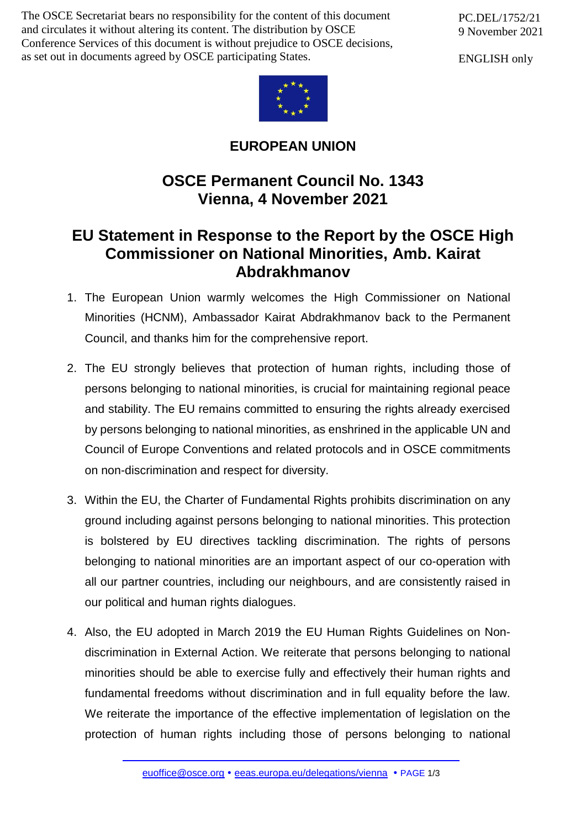The OSCE Secretariat bears no responsibility for the content of this document and circulates it without altering its content. The distribution by OSCE Conference Services of this document is without prejudice to OSCE decisions, as set out in documents agreed by OSCE participating States.

PC.DEL/1752/21 9 November 2021

ENGLISH only



## **EUROPEAN UNION**

## **OSCE Permanent Council No. 1343 Vienna, 4 November 2021**

## **EU Statement in Response to the Report by the OSCE High Commissioner on National Minorities, Amb. Kairat Abdrakhmanov**

- 1. The European Union warmly welcomes the High Commissioner on National Minorities (HCNM), Ambassador Kairat Abdrakhmanov back to the Permanent Council, and thanks him for the comprehensive report.
- 2. The EU strongly believes that protection of human rights, including those of persons belonging to national minorities, is crucial for maintaining regional peace and stability. The EU remains committed to ensuring the rights already exercised by persons belonging to national minorities, as enshrined in the applicable UN and Council of Europe Conventions and related protocols and in OSCE commitments on non-discrimination and respect for diversity.
- 3. Within the EU, the Charter of Fundamental Rights prohibits discrimination on any ground including against persons belonging to national minorities. This protection is bolstered by EU directives tackling discrimination. The rights of persons belonging to national minorities are an important aspect of our co-operation with all our partner countries, including our neighbours, and are consistently raised in our political and human rights dialogues.
- 4. Also, the EU adopted in March 2019 the EU Human Rights Guidelines on Nondiscrimination in External Action. We reiterate that persons belonging to national minorities should be able to exercise fully and effectively their human rights and fundamental freedoms without discrimination and in full equality before the law. We reiterate the importance of the effective implementation of legislation on the protection of human rights including those of persons belonging to national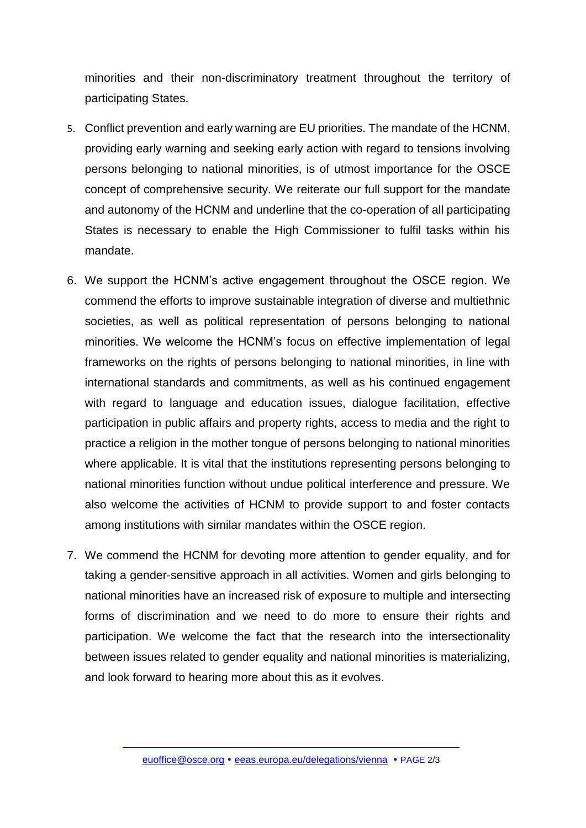minorities and their non-discriminatory treatment throughout the territory of participating States.

- 5. Conflict prevention and early warning are EU priorities. The mandate of the HCNM, providing early warning and seeking early action with regard to tensions involving persons belonging to national minorities, is of utmost importance for the OSCE concept of comprehensive security. We reiterate our full support for the mandate and autonomy of the HCNM and underline that the co-operation of all participating States is necessary to enable the High Commissioner to fulfil tasks within his mandate.
- 6. We support the HCNM's active engagement throughout the OSCE region. We commend the efforts to improve sustainable integration of diverse and multiethnic societies, as well as political representation of persons belonging to national minorities. We welcome the HCNM's focus on effective implementation of legal frameworks on the rights of persons belonging to national minorities, in line with international standards and commitments, as well as his continued engagement with regard to language and education issues, dialogue facilitation, effective participation in public affairs and property rights, access to media and the right to practice a religion in the mother tongue of persons belonging to national minorities where applicable. It is vital that the institutions representing persons belonging to national minorities function without undue political interference and pressure. We also welcome the activities of HCNM to provide support to and foster contacts among institutions with similar mandates within the OSCE region.
- 7. We commend the HCNM for devoting more attention to gender equality, and for taking a gender-sensitive approach in all activities. Women and girls belonging to national minorities have an increased risk of exposure to multiple and intersecting forms of discrimination and we need to do more to ensure their rights and participation. We welcome the fact that the research into the intersectionality between issues related to gender equality and national minorities is materializing, and look forward to hearing more about this as it evolves.